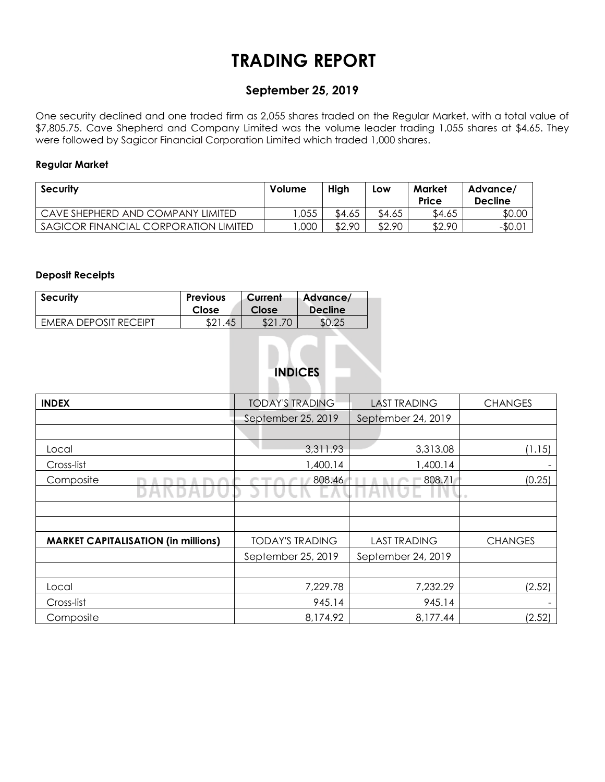# **TRADING REPORT**

## **September 25, 2019**

One security declined and one traded firm as 2,055 shares traded on the Regular Market, with a total value of \$7,805.75. Cave Shepherd and Company Limited was the volume leader trading 1,055 shares at \$4.65. They were followed by Sagicor Financial Corporation Limited which traded 1,000 shares.

#### **Regular Market**

| Security                              | <b>Volume</b> | High   | Low    | Market<br>Price | Advance/<br><b>Decline</b> |
|---------------------------------------|---------------|--------|--------|-----------------|----------------------------|
| CAVE SHEPHERD AND COMPANY LIMITED     | ,055          | \$4.65 | \$4.65 | \$4.65          | \$0.00                     |
| SAGICOR FINANCIAL CORPORATION LIMITED | ,000          | \$2.90 | \$2.90 | \$2.90          | $-$0.0'$                   |

#### **Deposit Receipts**

| <b>Security</b>       | <b>Previous</b>    | Current | Advance/       |
|-----------------------|--------------------|---------|----------------|
|                       | Close              | Close   | <b>Decline</b> |
| EMERA DEPOSIT RECEIPT | <b>tron</b><br>.45 |         |                |

# **INDICES**

| <b>INDEX</b>                               | <b>TODAY'S TRADING</b> | <b>LAST TRADING</b> | <b>CHANGES</b> |  |
|--------------------------------------------|------------------------|---------------------|----------------|--|
|                                            | September 25, 2019     | September 24, 2019  |                |  |
|                                            |                        |                     |                |  |
| Local                                      | 3,311.93               | 3,313.08            | (1.15)         |  |
| Cross-list                                 | 1,400.14               | 1,400.14            |                |  |
| Composite                                  | 808.46                 | 808.71              | (0.25)         |  |
|                                            |                        |                     |                |  |
|                                            |                        |                     |                |  |
|                                            |                        |                     |                |  |
| <b>MARKET CAPITALISATION (in millions)</b> | <b>TODAY'S TRADING</b> | <b>LAST TRADING</b> | <b>CHANGES</b> |  |
|                                            | September 25, 2019     | September 24, 2019  |                |  |
|                                            |                        |                     |                |  |
| Local                                      | 7,229.78               | 7,232.29            | (2.52)         |  |
| Cross-list                                 | 945.14                 | 945.14              |                |  |
| Composite                                  | 8,174.92               | 8,177.44            | (2.52)         |  |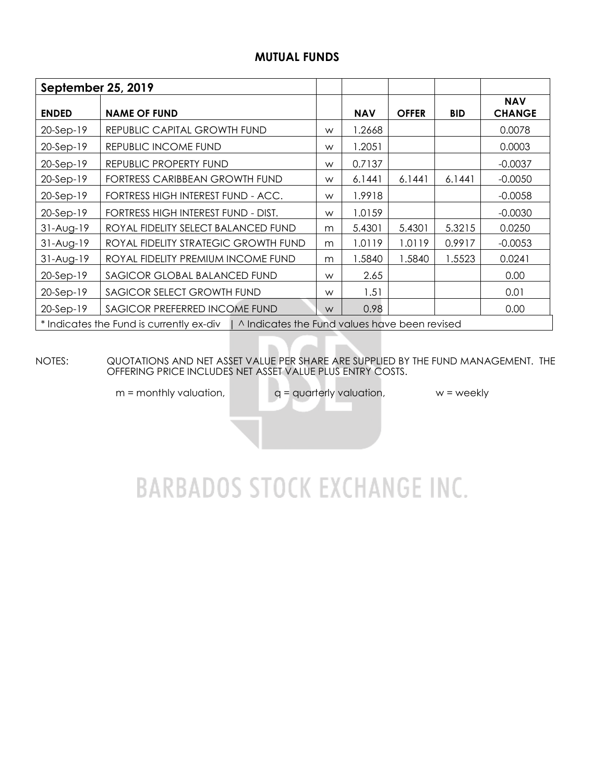# **MUTUAL FUNDS**

| September 25, 2019 |                                                                                          |   |            |              |            |                             |
|--------------------|------------------------------------------------------------------------------------------|---|------------|--------------|------------|-----------------------------|
| <b>ENDED</b>       | <b>NAME OF FUND</b>                                                                      |   | <b>NAV</b> | <b>OFFER</b> | <b>BID</b> | <b>NAV</b><br><b>CHANGE</b> |
| $20-Sep-19$        | REPUBLIC CAPITAL GROWTH FUND                                                             | W | 1.2668     |              |            | 0.0078                      |
| 20-Sep-19          | REPUBLIC INCOME FUND                                                                     | W | 1.2051     |              |            | 0.0003                      |
| $20-Sep-19$        | REPUBLIC PROPERTY FUND                                                                   | W | 0.7137     |              |            | $-0.0037$                   |
| 20-Sep-19          | FORTRESS CARIBBEAN GROWTH FUND                                                           | W | 6.1441     | 6.1441       | 6.1441     | $-0.0050$                   |
| $20-Sep-19$        | FORTRESS HIGH INTEREST FUND - ACC.                                                       | W | 1.9918     |              |            | $-0.0058$                   |
| $20-Sep-19$        | FORTRESS HIGH INTEREST FUND - DIST.                                                      | W | 1.0159     |              |            | $-0.0030$                   |
| $31-Aug-19$        | ROYAL FIDELITY SELECT BALANCED FUND                                                      | m | 5.4301     | 5.4301       | 5.3215     | 0.0250                      |
| $31-Aug-19$        | ROYAL FIDELITY STRATEGIC GROWTH FUND                                                     | m | 1.0119     | 1.0119       | 0.9917     | $-0.0053$                   |
| $31-Aug-19$        | ROYAL FIDELITY PREMIUM INCOME FUND                                                       | m | 1.5840     | 1.5840       | 1.5523     | 0.0241                      |
| 20-Sep-19          | SAGICOR GLOBAL BALANCED FUND                                                             | W | 2.65       |              |            | 0.00                        |
| $20-Sep-19$        | SAGICOR SELECT GROWTH FUND                                                               | W | 1.51       |              |            | 0.01                        |
| 20-Sep-19          | SAGICOR PREFERRED INCOME FUND                                                            | W | 0.98       |              |            | 0.00                        |
|                    | * Indicates the Fund is currently ex-div   ^ Indicates the Fund values have been revised |   |            |              |            |                             |

NOTES: QUOTATIONS AND NET ASSET VALUE PER SHARE ARE SUPPLIED BY THE FUND MANAGEMENT. THE OFFERING PRICE INCLUDES NET ASSET VALUE PLUS ENTRY COSTS.

 $m =$  monthly valuation,  $q =$  quarterly valuation,  $w =$  weekly

# **BARBADOS STOCK EXCHANGE INC.**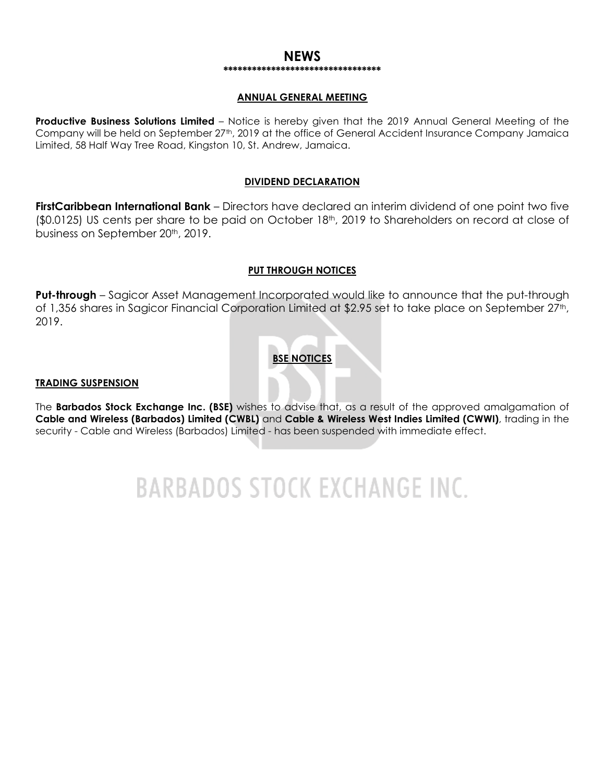#### **NEWS \*\*\*\*\*\*\*\*\*\*\*\*\*\*\*\*\*\*\*\*\*\*\*\*\*\*\*\*\*\*\*\*\***

#### **ANNUAL GENERAL MEETING**

**Productive Business Solutions Limited** – Notice is hereby given that the 2019 Annual General Meeting of the Company will be held on September 27<sup>th</sup>, 2019 at the office of General Accident Insurance Company Jamaica Limited, 58 Half Way Tree Road, Kingston 10, St. Andrew, Jamaica.

#### **DIVIDEND DECLARATION**

**FirstCaribbean International Bank** – Directors have declared an interim dividend of one point two five  $(50.0125)$  US cents per share to be paid on October 18<sup>th</sup>, 2019 to Shareholders on record at close of business on September 20<sup>th</sup>, 2019.

#### **PUT THROUGH NOTICES**

**Put-through** – Sagicor Asset Management Incorporated would like to announce that the put-through of 1,356 shares in Sagicor Financial Corporation Limited at \$2.95 set to take place on September 27<sup>th</sup>, 2019.

### **BSE NOTICES**

#### **TRADING SUSPENSION**

The **Barbados Stock Exchange Inc. (BSE)** wishes to advise that, as a result of the approved amalgamation of **Cable and Wireless (Barbados) Limited (CWBL)** and **Cable & Wireless West Indies Limited (CWWI)**, trading in the security - Cable and Wireless (Barbados) Limited - has been suspended with immediate effect.

**BARBADOS STOCK EXCHANGE INC.**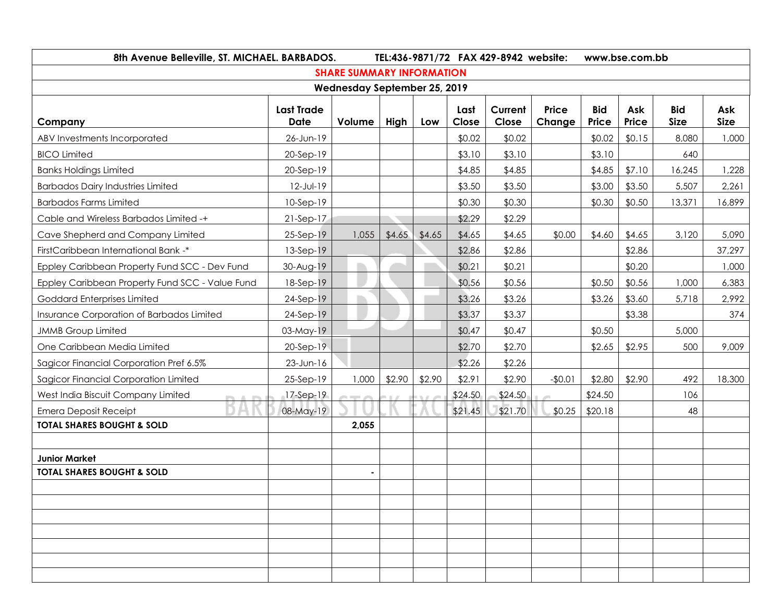| 8th Avenue Belleville, ST. MICHAEL. BARBADOS.   | TEL:436-9871/72 FAX 429-8942 website:<br>www.bse.com.bb |                                     |        |        |               |                  |                        |                     |              |                           |                    |
|-------------------------------------------------|---------------------------------------------------------|-------------------------------------|--------|--------|---------------|------------------|------------------------|---------------------|--------------|---------------------------|--------------------|
|                                                 |                                                         | <b>SHARE SUMMARY INFORMATION</b>    |        |        |               |                  |                        |                     |              |                           |                    |
|                                                 |                                                         | <b>Wednesday September 25, 2019</b> |        |        |               |                  |                        |                     |              |                           |                    |
| Company                                         | <b>Last Trade</b><br><b>Date</b>                        | Volume                              | High   | Low    | Last<br>Close | Current<br>Close | <b>Price</b><br>Change | <b>Bid</b><br>Price | Ask<br>Price | <b>Bid</b><br><b>Size</b> | Ask<br><b>Size</b> |
| ABV Investments Incorporated                    | 26-Jun-19                                               |                                     |        |        | \$0.02        | \$0.02           |                        | \$0.02              | \$0.15       | 8,080                     | 1,000              |
| <b>BICO Limited</b>                             | 20-Sep-19                                               |                                     |        |        | \$3.10        | \$3.10           |                        | \$3.10              |              | 640                       |                    |
| <b>Banks Holdings Limited</b>                   | 20-Sep-19                                               |                                     |        |        | \$4.85        | \$4.85           |                        | \$4.85              | \$7.10       | 16,245                    | 1,228              |
| <b>Barbados Dairy Industries Limited</b>        | 12-Jul-19                                               |                                     |        |        | \$3.50        | \$3.50           |                        | \$3.00              | \$3.50       | 5,507                     | 2,261              |
| <b>Barbados Farms Limited</b>                   | 10-Sep-19                                               |                                     |        |        | \$0.30        | \$0.30           |                        | \$0.30              | \$0.50       | 13,371                    | 16,899             |
| Cable and Wireless Barbados Limited -+          | $21-Sep-17$                                             |                                     |        |        | \$2.29        | \$2.29           |                        |                     |              |                           |                    |
| Cave Shepherd and Company Limited               | 25-Sep-19                                               | 1,055                               | \$4.65 | \$4.65 | \$4.65        | \$4.65           | \$0.00                 | \$4.60              | \$4.65       | 3,120                     | 5,090              |
| FirstCaribbean International Bank -*            | 13-Sep-19                                               |                                     |        |        | \$2.86        | \$2.86           |                        |                     | \$2.86       |                           | 37,297             |
| Eppley Caribbean Property Fund SCC - Dev Fund   | 30-Aug-19                                               |                                     |        |        | \$0.21        | \$0.21           |                        |                     | \$0.20       |                           | 1,000              |
| Eppley Caribbean Property Fund SCC - Value Fund | 18-Sep-19                                               |                                     |        |        | \$0.56        | \$0.56           |                        | \$0.50              | \$0.56       | 1,000                     | 6,383              |
| Goddard Enterprises Limited                     | 24-Sep-19                                               |                                     |        |        | \$3.26        | \$3.26           |                        | \$3.26              | \$3.60       | 5,718                     | 2,992              |
| Insurance Corporation of Barbados Limited       | 24-Sep-19                                               |                                     |        |        | \$3.37        | \$3.37           |                        |                     | \$3.38       |                           | 374                |
| <b>JMMB Group Limited</b>                       | 03-May-19                                               |                                     |        |        | \$0.47        | \$0.47           |                        | \$0.50              |              | 5,000                     |                    |
| One Caribbean Media Limited                     | 20-Sep-19                                               |                                     |        |        | \$2.70        | \$2.70           |                        | \$2.65              | \$2.95       | 500                       | 9,009              |
| Sagicor Financial Corporation Pref 6.5%         | 23-Jun-16                                               |                                     |        |        | \$2.26        | \$2.26           |                        |                     |              |                           |                    |
| Sagicor Financial Corporation Limited           | 25-Sep-19                                               | 1,000                               | \$2.90 | \$2.90 | \$2.91        | \$2.90           | $-$0.01$               | \$2.80              | \$2.90       | 492                       | 18,300             |
| West India Biscuit Company Limited              | 17-Sep-19                                               |                                     |        |        | \$24.50       | \$24.50          |                        | \$24.50             |              | 106                       |                    |
| <b>Emera Deposit Receipt</b>                    | 08-May-19                                               |                                     |        |        | \$21.45       | \$21.70          | \$0.25                 | \$20.18             |              | 48                        |                    |
| <b>TOTAL SHARES BOUGHT &amp; SOLD</b>           |                                                         | 2,055                               |        |        |               |                  |                        |                     |              |                           |                    |
|                                                 |                                                         |                                     |        |        |               |                  |                        |                     |              |                           |                    |
| <b>Junior Market</b>                            |                                                         |                                     |        |        |               |                  |                        |                     |              |                           |                    |
| <b>TOTAL SHARES BOUGHT &amp; SOLD</b>           |                                                         |                                     |        |        |               |                  |                        |                     |              |                           |                    |
|                                                 |                                                         |                                     |        |        |               |                  |                        |                     |              |                           |                    |
|                                                 |                                                         |                                     |        |        |               |                  |                        |                     |              |                           |                    |
|                                                 |                                                         |                                     |        |        |               |                  |                        |                     |              |                           |                    |
|                                                 |                                                         |                                     |        |        |               |                  |                        |                     |              |                           |                    |
|                                                 |                                                         |                                     |        |        |               |                  |                        |                     |              |                           |                    |
|                                                 |                                                         |                                     |        |        |               |                  |                        |                     |              |                           |                    |